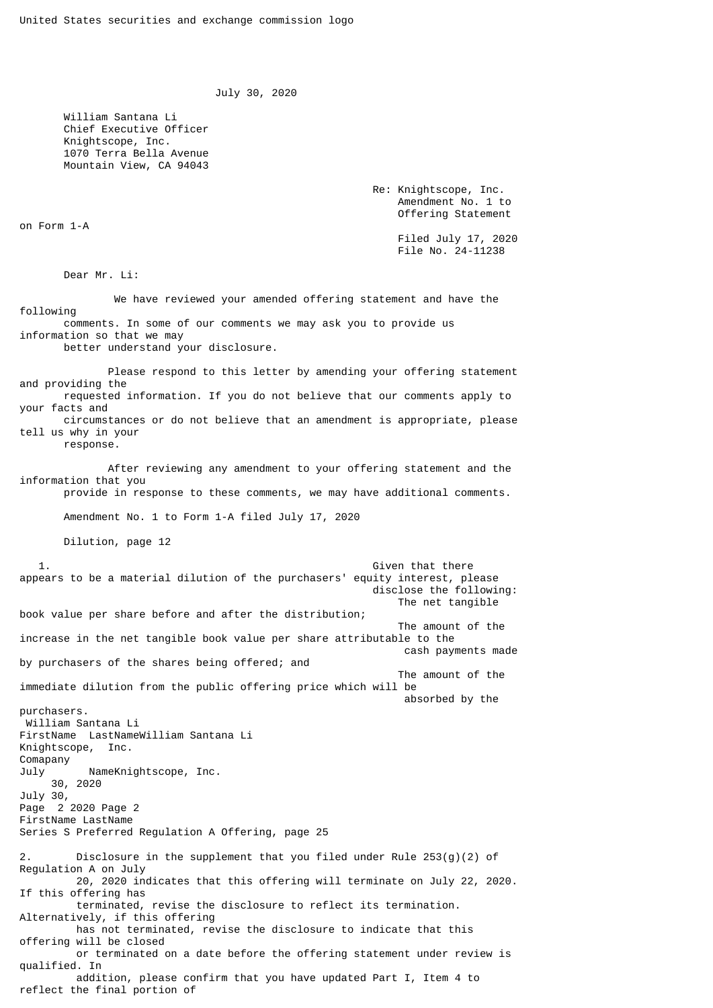July 30, 2020

 William Santana Li Chief Executive Officer Knightscope, Inc. 1070 Terra Bella Avenue Mountain View, CA 94043

> Re: Knightscope, Inc. Amendment No. 1 to Offering Statement

> > Filed July 17, 2020 File No. 24-11238

Dear Mr. Li:

on Form 1-A

 We have reviewed your amended offering statement and have the following comments. In some of our comments we may ask you to provide us information so that we may better understand your disclosure.

 Please respond to this letter by amending your offering statement and providing the requested information. If you do not believe that our comments apply to your facts and circumstances or do not believe that an amendment is appropriate, please tell us why in your response. After reviewing any amendment to your offering statement and the information that you provide in response to these comments, we may have additional comments.

Amendment No. 1 to Form 1-A filed July 17, 2020

Dilution, page 12

1. Given that there is a set of the set of the set of the set of the set of the set of the set of the set of the set of the set of the set of the set of the set of the set of the set of the set of the set of the set of the appears to be a material dilution of the purchasers' equity interest, please disclose the following: The net tangible book value per share before and after the distribution; The amount of the increase in the net tangible book value per share attributable to the cash payments made by purchasers of the shares being offered; and The amount of the immediate dilution from the public offering price which will be absorbed by the purchasers. William Santana Li FirstName LastNameWilliam Santana Li Knightscope, Inc. Comapany July NameKnightscope, Inc. 30, 2020 July 30, Page 2 2020 Page 2 FirstName LastName Series S Preferred Regulation A Offering, page 25 2. Disclosure in the supplement that you filed under Rule  $253(q)(2)$  of Regulation A on July 20, 2020 indicates that this offering will terminate on July 22, 2020. If this offering has terminated, revise the disclosure to reflect its termination. Alternatively, if this offering has not terminated, revise the disclosure to indicate that this offering will be closed or terminated on a date before the offering statement under review is qualified. In addition, please confirm that you have updated Part I, Item 4 to reflect the final portion of